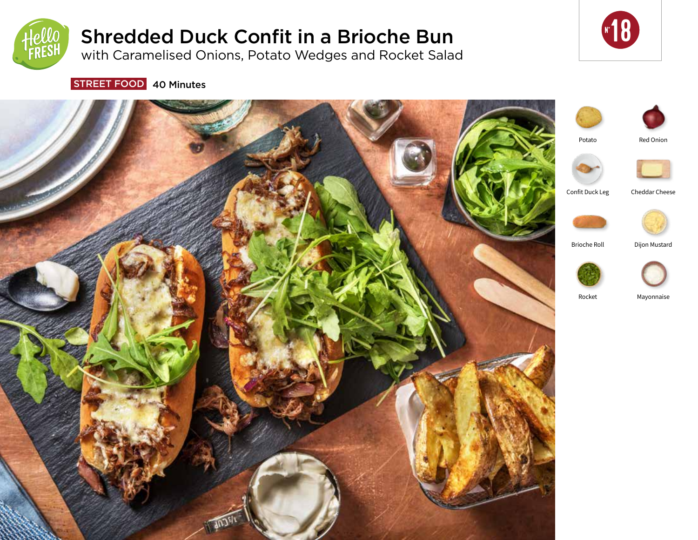

# Shredded Duck Confit in a Brioche Bun

with Caramelised Onions, Potato Wedges and Rocket Salad



STREET FOOD 40 Minutes